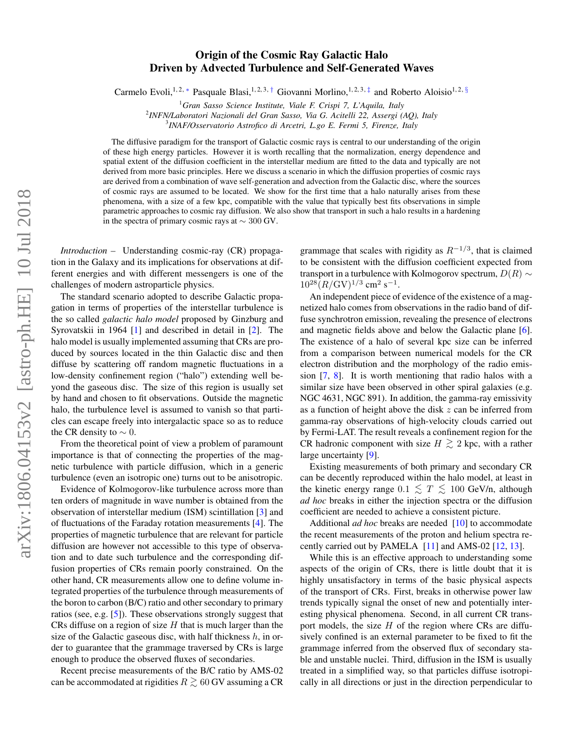## Origin of the Cosmic Ray Galactic Halo Driven by Advected Turbulence and Self-Generated Waves

Carmelo Evoli,<sup>1,2,\*</sup> Pasquale Blasi,<sup>1,2,3,[†](#page-4-1)</sup> Giovanni Morlino,<sup>1,2,3,[‡](#page-4-2)</sup> and Roberto Aloisio<sup>1,2, [§](#page-4-3)</sup>

<sup>1</sup>*Gran Sasso Science Institute, Viale F. Crispi 7, L'Aquila, Italy*

2 *INFN/Laboratori Nazionali del Gran Sasso, Via G. Acitelli 22, Assergi (AQ), Italy*

3 *INAF/Osservatorio Astrofico di Arcetri, L.go E. Fermi 5, Firenze, Italy*

The diffusive paradigm for the transport of Galactic cosmic rays is central to our understanding of the origin of these high energy particles. However it is worth recalling that the normalization, energy dependence and spatial extent of the diffusion coefficient in the interstellar medium are fitted to the data and typically are not derived from more basic principles. Here we discuss a scenario in which the diffusion properties of cosmic rays are derived from a combination of wave self-generation and advection from the Galactic disc, where the sources of cosmic rays are assumed to be located. We show for the first time that a halo naturally arises from these phenomena, with a size of a few kpc, compatible with the value that typically best fits observations in simple parametric approaches to cosmic ray diffusion. We also show that transport in such a halo results in a hardening in the spectra of primary cosmic rays at  $\sim 300$  GV.

*Introduction –* Understanding cosmic-ray (CR) propagation in the Galaxy and its implications for observations at different energies and with different messengers is one of the challenges of modern astroparticle physics.

The standard scenario adopted to describe Galactic propagation in terms of properties of the interstellar turbulence is the so called *galactic halo model* proposed by Ginzburg and Syrovatskii in 1964 [\[1\]](#page-4-4) and described in detail in [\[2\]](#page-4-5). The halo model is usually implemented assuming that CRs are produced by sources located in the thin Galactic disc and then diffuse by scattering off random magnetic fluctuations in a low-density confinement region ("halo") extending well beyond the gaseous disc. The size of this region is usually set by hand and chosen to fit observations. Outside the magnetic halo, the turbulence level is assumed to vanish so that particles can escape freely into intergalactic space so as to reduce the CR density to  $\sim$  0.

From the theoretical point of view a problem of paramount importance is that of connecting the properties of the magnetic turbulence with particle diffusion, which in a generic turbulence (even an isotropic one) turns out to be anisotropic.

Evidence of Kolmogorov-like turbulence across more than ten orders of magnitude in wave number is obtained from the observation of interstellar medium (ISM) scintillation [\[3\]](#page-4-6) and of fluctuations of the Faraday rotation measurements [\[4\]](#page-4-7). The properties of magnetic turbulence that are relevant for particle diffusion are however not accessible to this type of observation and to date such turbulence and the corresponding diffusion properties of CRs remain poorly constrained. On the other hand, CR measurements allow one to define volume integrated properties of the turbulence through measurements of the boron to carbon (B/C) ratio and other secondary to primary ratios (see, e.g. [\[5\]](#page-4-8)). These observations strongly suggest that CRs diffuse on a region of size  $H$  that is much larger than the size of the Galactic gaseous disc, with half thickness  $h$ , in order to guarantee that the grammage traversed by CRs is large enough to produce the observed fluxes of secondaries.

Recent precise measurements of the B/C ratio by AMS-02 can be accommodated at rigidities  $R \gtrsim 60$  GV assuming a CR

grammage that scales with rigidity as  $R^{-1/3}$ , that is claimed to be consistent with the diffusion coefficient expected from transport in a turbulence with Kolmogorov spectrum,  $D(R) \sim$  $10^{28} (R/GV)^{1/3}$  cm<sup>2</sup> s<sup>-1</sup>.

An independent piece of evidence of the existence of a magnetized halo comes from observations in the radio band of diffuse synchrotron emission, revealing the presence of electrons and magnetic fields above and below the Galactic plane [\[6\]](#page-4-9). The existence of a halo of several kpc size can be inferred from a comparison between numerical models for the CR electron distribution and the morphology of the radio emission [\[7,](#page-4-10) [8\]](#page-4-11). It is worth mentioning that radio halos with a similar size have been observed in other spiral galaxies (e.g. NGC 4631, NGC 891). In addition, the gamma-ray emissivity as a function of height above the disk z can be inferred from gamma-ray observations of high-velocity clouds carried out by Fermi-LAT. The result reveals a confinement region for the CR hadronic component with size  $H \geq 2$  kpc, with a rather large uncertainty [\[9\]](#page-4-12).

Existing measurements of both primary and secondary CR can be decently reproduced within the halo model, at least in the kinetic energy range  $0.1 \leq T \leq 100$  GeV/n, although *ad hoc* breaks in either the injection spectra or the diffusion coefficient are needed to achieve a consistent picture.

Additional *ad hoc* breaks are needed [\[10\]](#page-4-13) to accommodate the recent measurements of the proton and helium spectra recently carried out by PAMELA [\[11\]](#page-4-14) and AMS-02 [\[12,](#page-4-15) [13\]](#page-4-16).

While this is an effective approach to understanding some aspects of the origin of CRs, there is little doubt that it is highly unsatisfactory in terms of the basic physical aspects of the transport of CRs. First, breaks in otherwise power law trends typically signal the onset of new and potentially interesting physical phenomena. Second, in all current CR transport models, the size  $H$  of the region where CRs are diffusively confined is an external parameter to be fixed to fit the grammage inferred from the observed flux of secondary stable and unstable nuclei. Third, diffusion in the ISM is usually treated in a simplified way, so that particles diffuse isotropically in all directions or just in the direction perpendicular to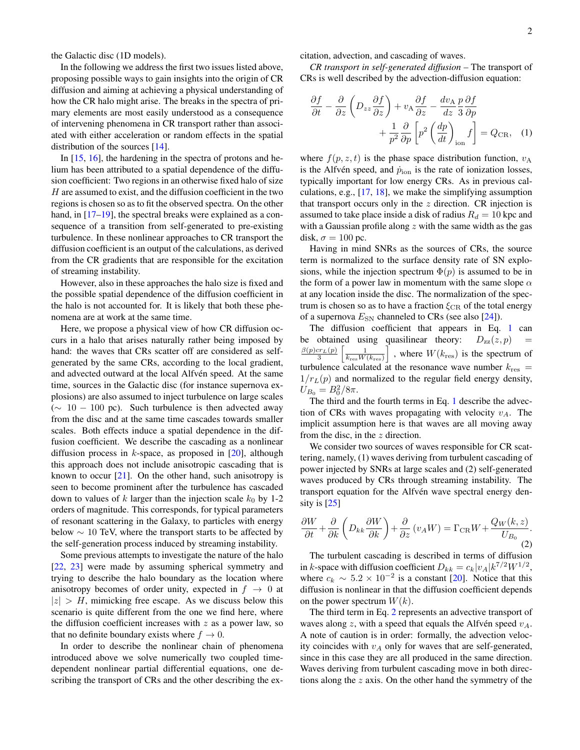the Galactic disc (1D models).

In the following we address the first two issues listed above, proposing possible ways to gain insights into the origin of CR diffusion and aiming at achieving a physical understanding of how the CR halo might arise. The breaks in the spectra of primary elements are most easily understood as a consequence of intervening phenomena in CR transport rather than associated with either acceleration or random effects in the spatial distribution of the sources [\[14\]](#page-4-17).

In [\[15,](#page-4-18) [16\]](#page-4-19), the hardening in the spectra of protons and helium has been attributed to a spatial dependence of the diffusion coefficient: Two regions in an otherwise fixed halo of size  $H$  are assumed to exist, and the diffusion coefficient in the two regions is chosen so as to fit the observed spectra. On the other hand, in [\[17–](#page-4-20)[19\]](#page-4-21), the spectral breaks were explained as a consequence of a transition from self-generated to pre-existing turbulence. In these nonlinear approaches to CR transport the diffusion coefficient is an output of the calculations, as derived from the CR gradients that are responsible for the excitation of streaming instability.

However, also in these approaches the halo size is fixed and the possible spatial dependence of the diffusion coefficient in the halo is not accounted for. It is likely that both these phenomena are at work at the same time.

Here, we propose a physical view of how CR diffusion occurs in a halo that arises naturally rather being imposed by hand: the waves that CRs scatter off are considered as selfgenerated by the same CRs, according to the local gradient, and advected outward at the local Alfvén speed. At the same time, sources in the Galactic disc (for instance supernova explosions) are also assumed to inject turbulence on large scales  $({\sim} 10 - 100)$  pc). Such turbulence is then advected away from the disc and at the same time cascades towards smaller scales. Both effects induce a spatial dependence in the diffusion coefficient. We describe the cascading as a nonlinear diffusion process in  $k$ -space, as proposed in  $[20]$ , although this approach does not include anisotropic cascading that is known to occur  $[21]$ . On the other hand, such anisotropy is seen to become prominent after the turbulence has cascaded down to values of  $k$  larger than the injection scale  $k_0$  by 1-2 orders of magnitude. This corresponds, for typical parameters of resonant scattering in the Galaxy, to particles with energy below  $\sim 10$  TeV, where the transport starts to be affected by the self-generation process induced by streaming instability.

Some previous attempts to investigate the nature of the halo [\[22,](#page-4-24) [23\]](#page-4-25) were made by assuming spherical symmetry and trying to describe the halo boundary as the location where anisotropy becomes of order unity, expected in  $f \rightarrow 0$  at  $|z| > H$ , mimicking free escape. As we discuss below this scenario is quite different from the one we find here, where the diffusion coefficient increases with  $z$  as a power law, so that no definite boundary exists where  $f \to 0$ .

In order to describe the nonlinear chain of phenomena introduced above we solve numerically two coupled timedependent nonlinear partial differential equations, one describing the transport of CRs and the other describing the excitation, advection, and cascading of waves.

*CR transport in self-generated diffusion –* The transport of CRs is well described by the advection-diffusion equation:

<span id="page-1-0"></span>
$$
\frac{\partial f}{\partial t} - \frac{\partial}{\partial z} \left( D_{zz} \frac{\partial f}{\partial z} \right) + v_{A} \frac{\partial f}{\partial z} - \frac{dv_{A}}{dz} \frac{p}{3} \frac{\partial f}{\partial p} \n+ \frac{1}{p^{2}} \frac{\partial}{\partial p} \left[ p^{2} \left( \frac{dp}{dt} \right)_{\text{ion}} f \right] = Q_{\text{CR}}, \quad (1)
$$

where  $f(p, z, t)$  is the phase space distribution function,  $v_A$ is the Alfven speed, and  $\dot{p}_{\text{ion}}$  is the rate of ionization losses, typically important for low energy CRs. As in previous calculations, e.g., [\[17,](#page-4-20) [18\]](#page-4-26), we make the simplifying assumption that transport occurs only in the  $z$  direction. CR injection is assumed to take place inside a disk of radius  $R_d = 10$  kpc and with a Gaussian profile along  $z$  with the same width as the gas disk,  $\sigma = 100$  pc.

Having in mind SNRs as the sources of CRs, the source term is normalized to the surface density rate of SN explosions, while the injection spectrum  $\Phi(p)$  is assumed to be in the form of a power law in momentum with the same slope  $\alpha$ at any location inside the disc. The normalization of the spectrum is chosen so as to have a fraction  $\xi_{CR}$  of the total energy of a supernova  $E_{SN}$  channeled to CRs (see also [\[24\]](#page-4-27)).

The diffusion coefficient that appears in Eq. [1](#page-1-0) can be obtained using quasilinear theory:  $D_{zz}(z, p)$  =  $\frac{\beta(p)cr_L(p)}{3}$   $\left[\frac{1}{k_{\text{res}}W(k_{\text{res}})}\right]$ , where  $W(k_{\text{res}})$  is the spectrum of turbulence calculated at the resonance wave number  $k_{\text{res}} =$  $1/r_L(p)$  and normalized to the regular field energy density,  $U_{B_0} = B_0^2/8\pi.$ 

The third and the fourth terms in Eq. [1](#page-1-0) describe the advection of CRs with waves propagating with velocity  $v_A$ . The implicit assumption here is that waves are all moving away from the disc, in the z direction.

We consider two sources of waves responsible for CR scattering, namely, (1) waves deriving from turbulent cascading of power injected by SNRs at large scales and (2) self-generated waves produced by CRs through streaming instability. The transport equation for the Alfvén wave spectral energy density is [\[25\]](#page-4-28)

<span id="page-1-1"></span>
$$
\frac{\partial W}{\partial t} + \frac{\partial}{\partial k} \left( D_{kk} \frac{\partial W}{\partial k} \right) + \frac{\partial}{\partial z} \left( v_A W \right) = \Gamma_{\text{CR}} W + \frac{Q_W(k, z)}{U_{B_0}}.
$$
\n(2)

The turbulent cascading is described in terms of diffusion in k-space with diffusion coefficient  $D_{kk} = c_k |v_A| k^{7/2} W^{1/2}$ , where  $c_k \sim 5.2 \times 10^{-2}$  is a constant [\[20\]](#page-4-22). Notice that this diffusion is nonlinear in that the diffusion coefficient depends on the power spectrum  $W(k)$ .

The third term in Eq. [2](#page-1-1) represents an advective transport of waves along z, with a speed that equals the Alfvén speed  $v_A$ . A note of caution is in order: formally, the advection velocity coincides with  $v_A$  only for waves that are self-generated, since in this case they are all produced in the same direction. Waves deriving from turbulent cascading move in both directions along the z axis. On the other hand the symmetry of the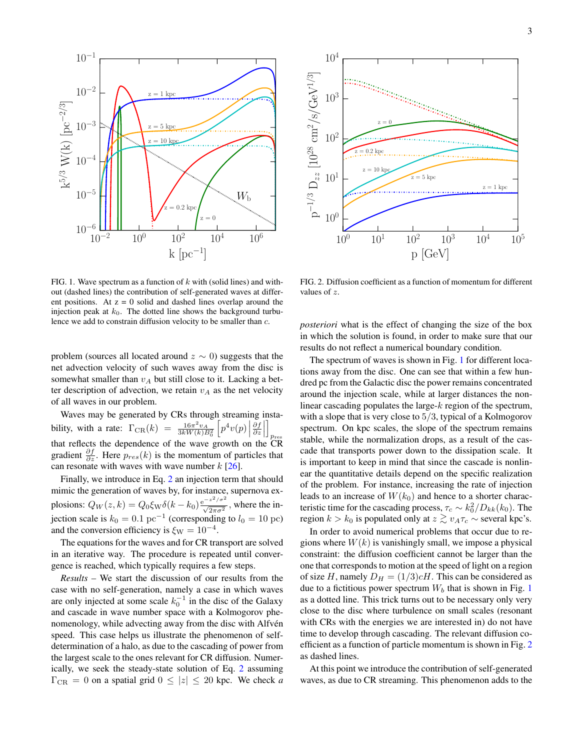



<span id="page-2-0"></span>FIG. 1. Wave spectrum as a function of  $k$  with (solid lines) and without (dashed lines) the contribution of self-generated waves at different positions. At  $z = 0$  solid and dashed lines overlap around the injection peak at  $k_0$ . The dotted line shows the background turbulence we add to constrain diffusion velocity to be smaller than c.

problem (sources all located around  $z \sim 0$ ) suggests that the net advection velocity of such waves away from the disc is somewhat smaller than  $v_A$  but still close to it. Lacking a better description of advection, we retain  $v_A$  as the net velocity of all waves in our problem.

Waves may be generated by CRs through streaming instability, with a rate:  $\Gamma_{CR}(k) = \frac{16\pi^2 v_A}{3kW(k)B_0^2}$  $\left[p^4v(p)\right]$  $\frac{\partial f}{\partial z}$ i  $p_{\rm res}$ that reflects the dependence of the wave growth on the CR gradient  $\frac{\partial f}{\partial z}$ . Here  $p_{res}(k)$  is the momentum of particles that can resonate with waves with wave number  $k$  [\[26\]](#page-4-29).

Finally, we introduce in Eq. [2](#page-1-1) an injection term that should mimic the generation of waves by, for instance, supernova explosions:  $Q_W(z, k) = Q_0 \xi_W \delta(k - k_0) \frac{e^{-z^2/\sigma^2}}{\sqrt{2\pi\sigma^2}}$ , where the injection scale is  $k_0 = 0.1 \text{ pc}^{-1}$  (corresponding to  $l_0 = 10 \text{ pc}$ ) and the conversion efficiency is  $\xi_{\rm W} = 10^{-4}$ .

The equations for the waves and for CR transport are solved in an iterative way. The procedure is repeated until convergence is reached, which typically requires a few steps.

*Results –* We start the discussion of our results from the case with no self-generation, namely a case in which waves are only injected at some scale  $k_0^{-1}$  in the disc of the Galaxy and cascade in wave number space with a Kolmogorov phenomenology, while advecting away from the disc with Alfvén speed. This case helps us illustrate the phenomenon of selfdetermination of a halo, as due to the cascading of power from the largest scale to the ones relevant for CR diffusion. Numerically, we seek the steady-state solution of Eq. [2](#page-1-1) assuming  $\Gamma_{\text{CR}} = 0$  on a spatial grid  $0 \leq |z| \leq 20$  kpc. We check *a* 

<span id="page-2-1"></span>FIG. 2. Diffusion coefficient as a function of momentum for different values of z.

*posteriori* what is the effect of changing the size of the box in which the solution is found, in order to make sure that our results do not reflect a numerical boundary condition.

The spectrum of waves is shown in Fig. [1](#page-2-0) for different locations away from the disc. One can see that within a few hundred pc from the Galactic disc the power remains concentrated around the injection scale, while at larger distances the nonlinear cascading populates the large- $k$  region of the spectrum, with a slope that is very close to 5/3, typical of a Kolmogorov spectrum. On kpc scales, the slope of the spectrum remains stable, while the normalization drops, as a result of the cascade that transports power down to the dissipation scale. It is important to keep in mind that since the cascade is nonlinear the quantitative details depend on the specific realization of the problem. For instance, increasing the rate of injection leads to an increase of  $W(k_0)$  and hence to a shorter characteristic time for the cascading process,  $\tau_c \sim k_0^2/D_{kk}(k_0)$ . The region  $k > k_0$  is populated only at  $z \gtrsim v_A \tau_c$  ∼ several kpc's.

In order to avoid numerical problems that occur due to regions where  $W(k)$  is vanishingly small, we impose a physical constraint: the diffusion coefficient cannot be larger than the one that corresponds to motion at the speed of light on a region of size H, namely  $D_H = (1/3)cH$ . This can be considered as due to a fictitious power spectrum  $W_b$  that is shown in Fig. [1](#page-2-0) as a dotted line. This trick turns out to be necessary only very close to the disc where turbulence on small scales (resonant with CRs with the energies we are interested in) do not have time to develop through cascading. The relevant diffusion coefficient as a function of particle momentum is shown in Fig. [2](#page-2-1) as dashed lines.

At this point we introduce the contribution of self-generated waves, as due to CR streaming. This phenomenon adds to the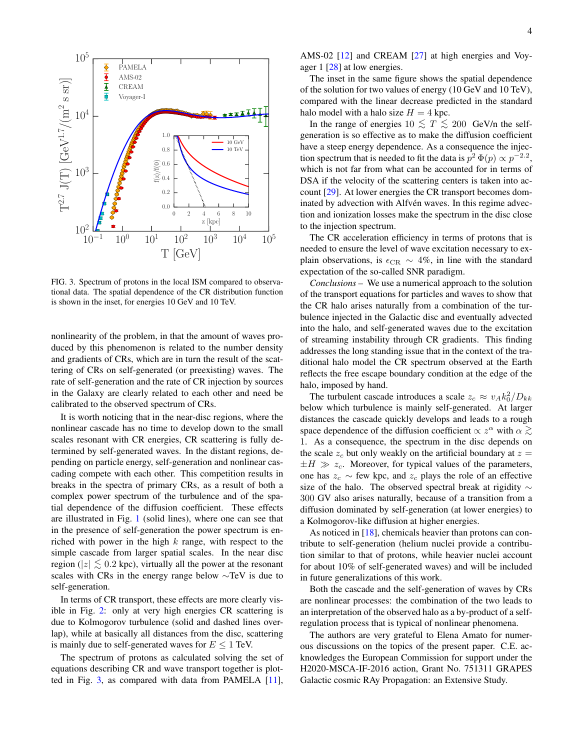

<span id="page-3-0"></span>FIG. 3. Spectrum of protons in the local ISM compared to observational data. The spatial dependence of the CR distribution function is shown in the inset, for energies 10 GeV and 10 TeV.

nonlinearity of the problem, in that the amount of waves produced by this phenomenon is related to the number density and gradients of CRs, which are in turn the result of the scattering of CRs on self-generated (or preexisting) waves. The rate of self-generation and the rate of CR injection by sources in the Galaxy are clearly related to each other and need be calibrated to the observed spectrum of CRs.

It is worth noticing that in the near-disc regions, where the nonlinear cascade has no time to develop down to the small scales resonant with CR energies, CR scattering is fully determined by self-generated waves. In the distant regions, depending on particle energy, self-generation and nonlinear cascading compete with each other. This competition results in breaks in the spectra of primary CRs, as a result of both a complex power spectrum of the turbulence and of the spatial dependence of the diffusion coefficient. These effects are illustrated in Fig. [1](#page-2-0) (solid lines), where one can see that in the presence of self-generation the power spectrum is enriched with power in the high  $k$  range, with respect to the simple cascade from larger spatial scales. In the near disc region ( $|z| \lesssim 0.2$  kpc), virtually all the power at the resonant scales with CRs in the energy range below ∼TeV is due to self-generation.

In terms of CR transport, these effects are more clearly visible in Fig. [2:](#page-2-1) only at very high energies CR scattering is due to Kolmogorov turbulence (solid and dashed lines overlap), while at basically all distances from the disc, scattering is mainly due to self-generated waves for  $E \leq 1$  TeV.

The spectrum of protons as calculated solving the set of equations describing CR and wave transport together is plotted in Fig. [3,](#page-3-0) as compared with data from PAMELA [\[11\]](#page-4-14),

AMS-02 [\[12\]](#page-4-15) and CREAM [\[27\]](#page-4-30) at high energies and Voyager 1 [\[28\]](#page-4-31) at low energies.

The inset in the same figure shows the spatial dependence of the solution for two values of energy (10 GeV and 10 TeV), compared with the linear decrease predicted in the standard halo model with a halo size  $H = 4$  kpc.

In the range of energies  $10 \leq T \leq 200$  GeV/n the selfgeneration is so effective as to make the diffusion coefficient have a steep energy dependence. As a consequence the injection spectrum that is needed to fit the data is  $p^2 \Phi(p) \propto p^{-2.2}$ , which is not far from what can be accounted for in terms of DSA if the velocity of the scattering centers is taken into account [\[29\]](#page-4-32). At lower energies the CR transport becomes dominated by advection with Alfvén waves. In this regime advection and ionization losses make the spectrum in the disc close to the injection spectrum.

The CR acceleration efficiency in terms of protons that is needed to ensure the level of wave excitation necessary to explain observations, is  $\epsilon_{CR} \sim 4\%$ , in line with the standard expectation of the so-called SNR paradigm.

*Conclusions –* We use a numerical approach to the solution of the transport equations for particles and waves to show that the CR halo arises naturally from a combination of the turbulence injected in the Galactic disc and eventually advected into the halo, and self-generated waves due to the excitation of streaming instability through CR gradients. This finding addresses the long standing issue that in the context of the traditional halo model the CR spectrum observed at the Earth reflects the free escape boundary condition at the edge of the halo, imposed by hand.

The turbulent cascade introduces a scale  $z_c \approx v_A k_0^2 / D_{kk}$ below which turbulence is mainly self-generated. At larger distances the cascade quickly develops and leads to a rough space dependence of the diffusion coefficient  $\propto z^{\alpha}$  with  $\alpha \gtrsim$ <sup>1</sup> 1. As a consequence, the spectrum in the disc depends on the scale  $z_c$  but only weakly on the artificial boundary at  $z =$  $\pm H \gg z_c$ . Moreover, for typical values of the parameters, one has  $z_c \sim$  few kpc, and  $z_c$  plays the role of an effective size of the halo. The observed spectral break at rigidity  $\sim$ 300 GV also arises naturally, because of a transition from a diffusion dominated by self-generation (at lower energies) to a Kolmogorov-like diffusion at higher energies.

As noticed in [\[18\]](#page-4-26), chemicals heavier than protons can contribute to self-generation (helium nuclei provide a contribution similar to that of protons, while heavier nuclei account for about 10% of self-generated waves) and will be included in future generalizations of this work.

Both the cascade and the self-generation of waves by CRs are nonlinear processes: the combination of the two leads to an interpretation of the observed halo as a by-product of a selfregulation process that is typical of nonlinear phenomena.

The authors are very grateful to Elena Amato for numerous discussions on the topics of the present paper. C.E. acknowledges the European Commission for support under the H2020-MSCA-IF-2016 action, Grant No. 751311 GRAPES Galactic cosmic RAy Propagation: an Extensive Study.